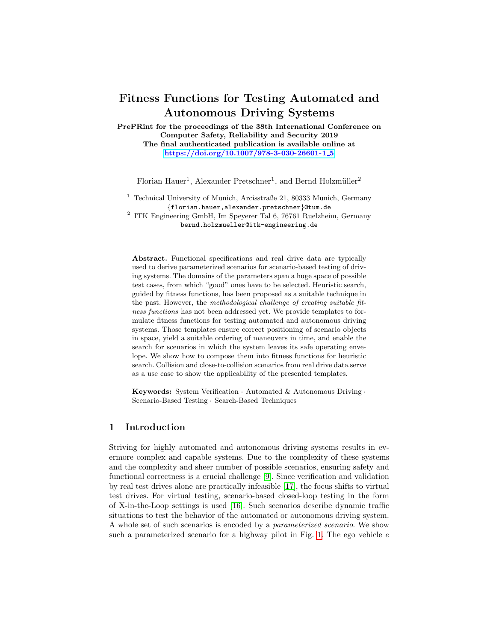# Fitness Functions for Testing Automated and Autonomous Driving Systems

PrePRint for the proceedings of the 38th International Conference on Computer Safety, Reliability and Security 2019 The final authenticated publication is available online at [https://doi.org/10.1007/978-3-030-26601-1](https://doi.org/10.1007/978-3-030-26601-1_5) 5

Florian Hauer<sup>1</sup>, Alexander Pretschner<sup>1</sup>, and Bernd Holzmüller<sup>2</sup>

<sup>1</sup> Technical University of Munich, Arcisstraße 21, 80333 Munich, Germany {florian.hauer,alexander.pretschner}@tum.de

2 ITK Engineering GmbH, Im Speyerer Tal 6, 76761 Ruelzheim, Germany bernd.holzmueller@itk-engineering.de

Abstract. Functional specifications and real drive data are typically used to derive parameterized scenarios for scenario-based testing of driving systems. The domains of the parameters span a huge space of possible test cases, from which "good" ones have to be selected. Heuristic search, guided by fitness functions, has been proposed as a suitable technique in the past. However, the methodological challenge of creating suitable fitness functions has not been addressed yet. We provide templates to formulate fitness functions for testing automated and autonomous driving systems. Those templates ensure correct positioning of scenario objects in space, yield a suitable ordering of maneuvers in time, and enable the search for scenarios in which the system leaves its safe operating envelope. We show how to compose them into fitness functions for heuristic search. Collision and close-to-collision scenarios from real drive data serve as a use case to show the applicability of the presented templates.

Keywords: System Verification · Automated & Autonomous Driving · Scenario-Based Testing · Search-Based Techniques

## 1 Introduction

Striving for highly automated and autonomous driving systems results in evermore complex and capable systems. Due to the complexity of these systems and the complexity and sheer number of possible scenarios, ensuring safety and functional correctness is a crucial challenge [\[9\]](#page-14-0). Since verification and validation by real test drives alone are practically infeasible [\[17\]](#page-15-0), the focus shifts to virtual test drives. For virtual testing, scenario-based closed-loop testing in the form of X-in-the-Loop settings is used [\[16\]](#page-15-1). Such scenarios describe dynamic traffic situations to test the behavior of the automated or autonomous driving system. A whole set of such scenarios is encoded by a parameterized scenario. We show such a parameterized scenario for a highway pilot in Fig. [1.](#page-1-0) The ego vehicle  $e$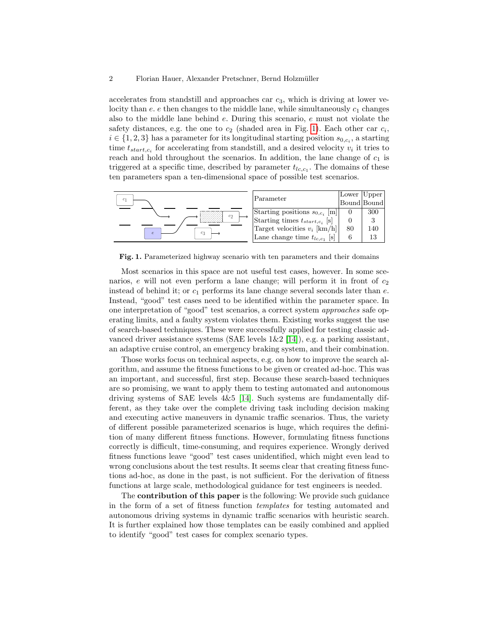accelerates from standstill and approaches car  $c_3$ , which is driving at lower velocity than  $e$ .  $e$  then changes to the middle lane, while simultaneously  $c_1$  changes also to the middle lane behind e. During this scenario, e must not violate the safety distances, e.g. the one to  $c_2$  (shaded area in Fig. [1\)](#page-1-0). Each other car  $c_i$ ,  $i \in \{1,2,3\}$  has a parameter for its longitudinal starting position  $s_{0,c_i}$ , a starting time  $t_{start,c_i}$  for accelerating from standstill, and a desired velocity  $v_i$  it tries to reach and hold throughout the scenarios. In addition, the lane change of  $c_1$  is triggered at a specific time, described by parameter  $t_{lc,c_1}$ . The domains of these ten parameters span a ten-dimensional space of possible test scenarios.



<span id="page-1-0"></span>Fig. 1. Parameterized highway scenario with ten parameters and their domains

Most scenarios in this space are not useful test cases, however. In some scenarios,  $e$  will not even perform a lane change; will perform it in front of  $c_2$ instead of behind it; or  $c_1$  performs its lane change several seconds later than e. Instead, "good" test cases need to be identified within the parameter space. In one interpretation of "good" test scenarios, a correct system approaches safe operating limits, and a faulty system violates them. Existing works suggest the use of search-based techniques. These were successfully applied for testing classic advanced driver assistance systems (SAE levels 1&2 [\[14\]](#page-14-1)), e.g. a parking assistant, an adaptive cruise control, an emergency braking system, and their combination.

Those works focus on technical aspects, e.g. on how to improve the search algorithm, and assume the fitness functions to be given or created ad-hoc. This was an important, and successful, first step. Because these search-based techniques are so promising, we want to apply them to testing automated and autonomous driving systems of SAE levels 4&5 [\[14\]](#page-14-1). Such systems are fundamentally different, as they take over the complete driving task including decision making and executing active maneuvers in dynamic traffic scenarios. Thus, the variety of different possible parameterized scenarios is huge, which requires the definition of many different fitness functions. However, formulating fitness functions correctly is difficult, time-consuming, and requires experience. Wrongly derived fitness functions leave "good" test cases unidentified, which might even lead to wrong conclusions about the test results. It seems clear that creating fitness functions ad-hoc, as done in the past, is not sufficient. For the derivation of fitness functions at large scale, methodological guidance for test engineers is needed.

The contribution of this paper is the following: We provide such guidance in the form of a set of fitness function templates for testing automated and autonomous driving systems in dynamic traffic scenarios with heuristic search. It is further explained how those templates can be easily combined and applied to identify "good" test cases for complex scenario types.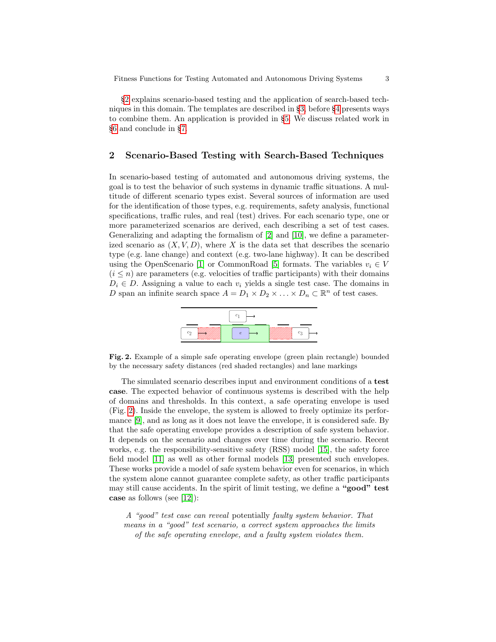§[2](#page-2-0) explains scenario-based testing and the application of search-based techniques in this domain. The templates are described in §[3,](#page-3-0) before §[4](#page-9-0) presents ways to combine them. An application is provided in §[5.](#page-10-0) We discuss related work in §[6](#page-12-0) and conclude in §[7.](#page-13-0)

## <span id="page-2-0"></span>2 Scenario-Based Testing with Search-Based Techniques

In scenario-based testing of automated and autonomous driving systems, the goal is to test the behavior of such systems in dynamic traffic situations. A multitude of different scenario types exist. Several sources of information are used for the identification of those types, e.g. requirements, safety analysis, functional specifications, traffic rules, and real (test) drives. For each scenario type, one or more parameterized scenarios are derived, each describing a set of test cases. Generalizing and adapting the formalism of [\[2\]](#page-14-2) and [\[10\]](#page-14-3), we define a parameterized scenario as  $(X, V, D)$ , where X is the data set that describes the scenario type (e.g. lane change) and context (e.g. two-lane highway). It can be described using the OpenScenario [\[1\]](#page-14-4) or CommonRoad [\[5\]](#page-14-5) formats. The variables  $v_i \in V$  $(i \leq n)$  are parameters (e.g. velocities of traffic participants) with their domains  $D_i \in D$ . Assigning a value to each  $v_i$  yields a single test case. The domains in D span an infinite search space  $A = D_1 \times D_2 \times \ldots \times D_n \subset \mathbb{R}^n$  of test cases.



<span id="page-2-1"></span>Fig. 2. Example of a simple safe operating envelope (green plain rectangle) bounded by the necessary safety distances (red shaded rectangles) and lane markings

The simulated scenario describes input and environment conditions of a test case. The expected behavior of continuous systems is described with the help of domains and thresholds. In this context, a safe operating envelope is used (Fig. [2\)](#page-2-1). Inside the envelope, the system is allowed to freely optimize its performance [\[9\]](#page-14-0), and as long as it does not leave the envelope, it is considered safe. By that the safe operating envelope provides a description of safe system behavior. It depends on the scenario and changes over time during the scenario. Recent works, e.g. the responsibility-sensitive safety (RSS) model [\[15\]](#page-14-6), the safety force field model [\[11\]](#page-14-7) as well as other formal models [\[13\]](#page-14-8) presented such envelopes. These works provide a model of safe system behavior even for scenarios, in which the system alone cannot guarantee complete safety, as other traffic participants may still cause accidents. In the spirit of limit testing, we define a "good" test case as follows (see [\[12\]](#page-14-9)):

A "good" test case can reveal potentially faulty system behavior. That means in a "good" test scenario, a correct system approaches the limits of the safe operating envelope, and a faulty system violates them.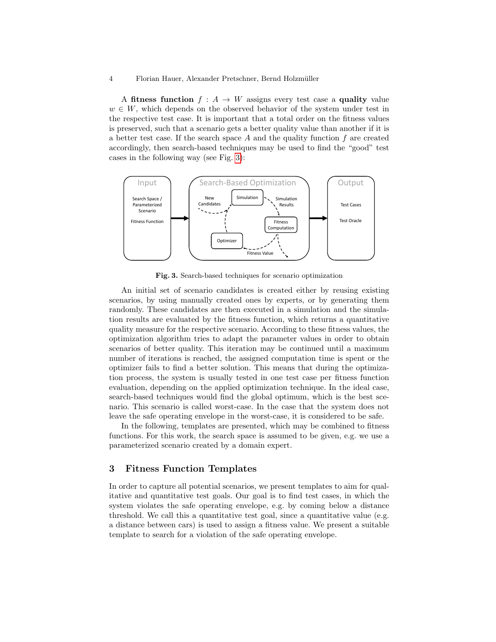A fitness function  $f : A \to W$  assigns every test case a quality value  $w \in W$ , which depends on the observed behavior of the system under test in the respective test case. It is important that a total order on the fitness values is preserved, such that a scenario gets a better quality value than another if it is a better test case. If the search space  $A$  and the quality function  $f$  are created accordingly, then search-based techniques may be used to find the "good" test cases in the following way (see Fig. [3\)](#page-3-1):



<span id="page-3-1"></span>Fig. 3. Search-based techniques for scenario optimization

An initial set of scenario candidates is created either by reusing existing scenarios, by using manually created ones by experts, or by generating them randomly. These candidates are then executed in a simulation and the simulation results are evaluated by the fitness function, which returns a quantitative quality measure for the respective scenario. According to these fitness values, the optimization algorithm tries to adapt the parameter values in order to obtain scenarios of better quality. This iteration may be continued until a maximum number of iterations is reached, the assigned computation time is spent or the optimizer fails to find a better solution. This means that during the optimization process, the system is usually tested in one test case per fitness function evaluation, depending on the applied optimization technique. In the ideal case, search-based techniques would find the global optimum, which is the best scenario. This scenario is called worst-case. In the case that the system does not leave the safe operating envelope in the worst-case, it is considered to be safe.

In the following, templates are presented, which may be combined to fitness functions. For this work, the search space is assumed to be given, e.g. we use a parameterized scenario created by a domain expert.

## <span id="page-3-0"></span>3 Fitness Function Templates

In order to capture all potential scenarios, we present templates to aim for qualitative and quantitative test goals. Our goal is to find test cases, in which the system violates the safe operating envelope, e.g. by coming below a distance threshold. We call this a quantitative test goal, since a quantitative value (e.g. a distance between cars) is used to assign a fitness value. We present a suitable template to search for a violation of the safe operating envelope.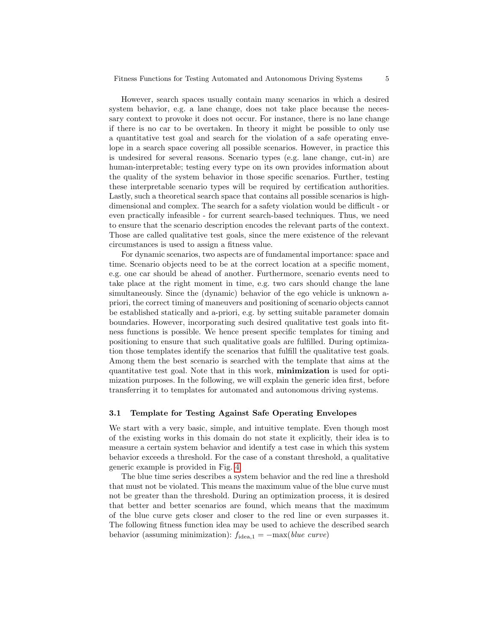Fitness Functions for Testing Automated and Autonomous Driving Systems 5

However, search spaces usually contain many scenarios in which a desired system behavior, e.g. a lane change, does not take place because the necessary context to provoke it does not occur. For instance, there is no lane change if there is no car to be overtaken. In theory it might be possible to only use a quantitative test goal and search for the violation of a safe operating envelope in a search space covering all possible scenarios. However, in practice this is undesired for several reasons. Scenario types (e.g. lane change, cut-in) are human-interpretable; testing every type on its own provides information about the quality of the system behavior in those specific scenarios. Further, testing these interpretable scenario types will be required by certification authorities. Lastly, such a theoretical search space that contains all possible scenarios is highdimensional and complex. The search for a safety violation would be difficult - or even practically infeasible - for current search-based techniques. Thus, we need to ensure that the scenario description encodes the relevant parts of the context. Those are called qualitative test goals, since the mere existence of the relevant circumstances is used to assign a fitness value.

For dynamic scenarios, two aspects are of fundamental importance: space and time. Scenario objects need to be at the correct location at a specific moment, e.g. one car should be ahead of another. Furthermore, scenario events need to take place at the right moment in time, e.g. two cars should change the lane simultaneously. Since the (dynamic) behavior of the ego vehicle is unknown apriori, the correct timing of maneuvers and positioning of scenario objects cannot be established statically and a-priori, e.g. by setting suitable parameter domain boundaries. However, incorporating such desired qualitative test goals into fitness functions is possible. We hence present specific templates for timing and positioning to ensure that such qualitative goals are fulfilled. During optimization those templates identify the scenarios that fulfill the qualitative test goals. Among them the best scenario is searched with the template that aims at the quantitative test goal. Note that in this work, minimization is used for optimization purposes. In the following, we will explain the generic idea first, before transferring it to templates for automated and autonomous driving systems.

#### 3.1 Template for Testing Against Safe Operating Envelopes

We start with a very basic, simple, and intuitive template. Even though most of the existing works in this domain do not state it explicitly, their idea is to measure a certain system behavior and identify a test case in which this system behavior exceeds a threshold. For the case of a constant threshold, a qualitative generic example is provided in Fig. [4.](#page-5-0)

The blue time series describes a system behavior and the red line a threshold that must not be violated. This means the maximum value of the blue curve must not be greater than the threshold. During an optimization process, it is desired that better and better scenarios are found, which means that the maximum of the blue curve gets closer and closer to the red line or even surpasses it. The following fitness function idea may be used to achieve the described search behavior (assuming minimization):  $f_{idea,1} = -\max(blue\ curve)$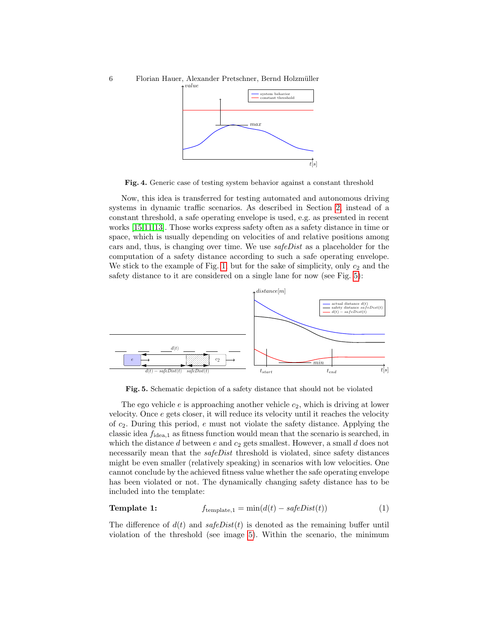



<span id="page-5-0"></span>Fig. 4. Generic case of testing system behavior against a constant threshold

Now, this idea is transferred for testing automated and autonomous driving systems in dynamic traffic scenarios. As described in Section [2,](#page-2-0) instead of a constant threshold, a safe operating envelope is used, e.g. as presented in recent works [\[15](#page-14-6)[,11,](#page-14-7)[13\]](#page-14-8). Those works express safety often as a safety distance in time or space, which is usually depending on velocities of and relative positions among cars and, thus, is changing over time. We use safeDist as a placeholder for the computation of a safety distance according to such a safe operating envelope. We stick to the example of Fig. [1,](#page-1-0) but for the sake of simplicity, only  $c_2$  and the safety distance to it are considered on a single lane for now (see Fig. [5\)](#page-5-1):



<span id="page-5-1"></span>Fig. 5. Schematic depiction of a safety distance that should not be violated

The ego vehicle  $e$  is approaching another vehicle  $c_2$ , which is driving at lower velocity. Once e gets closer, it will reduce its velocity until it reaches the velocity of  $c_2$ . During this period,  $e$  must not violate the safety distance. Applying the classic idea  $f_{\text{idea},1}$  as fitness function would mean that the scenario is searched, in which the distance  $d$  between  $e$  and  $c_2$  gets smallest. However, a small  $d$  does not necessarily mean that the *safeDist* threshold is violated, since safety distances might be even smaller (relatively speaking) in scenarios with low velocities. One cannot conclude by the achieved fitness value whether the safe operating envelope has been violated or not. The dynamically changing safety distance has to be included into the template:

# **Template 1:**  $f_{\text{template},1} = \min(d(t) - \text{safeDist}(t))$  (1)

The difference of  $d(t)$  and  $safeDist(t)$  is denoted as the remaining buffer until violation of the threshold (see image [5\)](#page-5-1). Within the scenario, the minimum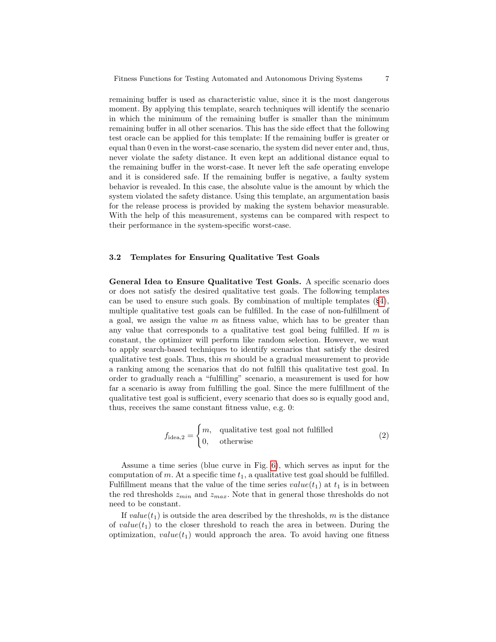remaining buffer is used as characteristic value, since it is the most dangerous moment. By applying this template, search techniques will identify the scenario in which the minimum of the remaining buffer is smaller than the minimum remaining buffer in all other scenarios. This has the side effect that the following test oracle can be applied for this template: If the remaining buffer is greater or equal than 0 even in the worst-case scenario, the system did never enter and, thus, never violate the safety distance. It even kept an additional distance equal to the remaining buffer in the worst-case. It never left the safe operating envelope and it is considered safe. If the remaining buffer is negative, a faulty system behavior is revealed. In this case, the absolute value is the amount by which the system violated the safety distance. Using this template, an argumentation basis for the release process is provided by making the system behavior measurable. With the help of this measurement, systems can be compared with respect to their performance in the system-specific worst-case.

#### 3.2 Templates for Ensuring Qualitative Test Goals

General Idea to Ensure Qualitative Test Goals. A specific scenario does or does not satisfy the desired qualitative test goals. The following templates can be used to ensure such goals. By combination of multiple templates (§[4\)](#page-9-0), multiple qualitative test goals can be fulfilled. In the case of non-fulfillment of a goal, we assign the value  $m$  as fitness value, which has to be greater than any value that corresponds to a qualitative test goal being fulfilled. If  $m$  is constant, the optimizer will perform like random selection. However, we want to apply search-based techniques to identify scenarios that satisfy the desired qualitative test goals. Thus, this  $m$  should be a gradual measurement to provide a ranking among the scenarios that do not fulfill this qualitative test goal. In order to gradually reach a "fulfilling" scenario, a measurement is used for how far a scenario is away from fulfilling the goal. Since the mere fulfillment of the qualitative test goal is sufficient, every scenario that does so is equally good and, thus, receives the same constant fitness value, e.g. 0:

$$
f_{\text{idea},2} = \begin{cases} m, & \text{qualitative test goal not fulfilled} \\ 0, & \text{otherwise} \end{cases} \tag{2}
$$

Assume a time series (blue curve in Fig. [6\)](#page-7-0), which serves as input for the computation of m. At a specific time  $t_1$ , a qualitative test goal should be fulfilled. Fulfillment means that the value of the time series  $value(t_1)$  at  $t_1$  is in between the red thresholds  $z_{min}$  and  $z_{max}$ . Note that in general those thresholds do not need to be constant.

If value( $t_1$ ) is outside the area described by the thresholds, m is the distance of  $value(t_1)$  to the closer threshold to reach the area in between. During the optimization,  $value(t_1)$  would approach the area. To avoid having one fitness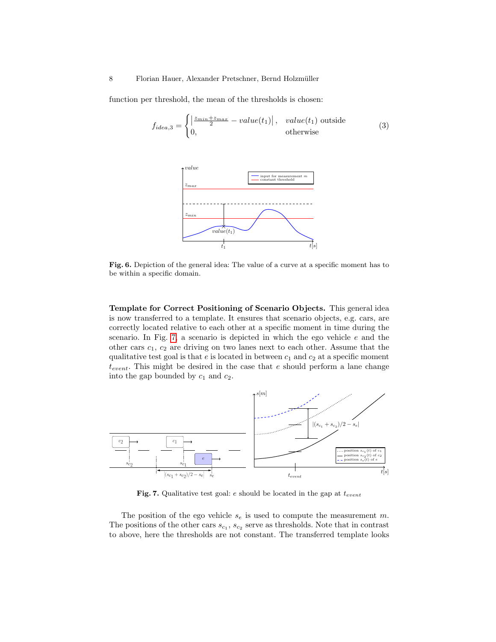function per threshold, the mean of the thresholds is chosen:



<span id="page-7-0"></span>Fig. 6. Depiction of the general idea: The value of a curve at a specific moment has to be within a specific domain.

Template for Correct Positioning of Scenario Objects. This general idea is now transferred to a template. It ensures that scenario objects, e.g. cars, are correctly located relative to each other at a specific moment in time during the scenario. In Fig. [7,](#page-7-1) a scenario is depicted in which the ego vehicle  $e$  and the other cars  $c_1$ ,  $c_2$  are driving on two lanes next to each other. Assume that the qualitative test goal is that  $e$  is located in between  $c_1$  and  $c_2$  at a specific moment  $t_{event}$ . This might be desired in the case that e should perform a lane change into the gap bounded by  $c_1$  and  $c_2$ .



<span id="page-7-1"></span>Fig. 7. Qualitative test goal:  $e$  should be located in the gap at  $t_{event}$ 

The position of the ego vehicle  $s_e$  is used to compute the measurement m. The positions of the other cars  $s_{c_1}, s_{c_2}$  serve as thresholds. Note that in contrast to above, here the thresholds are not constant. The transferred template looks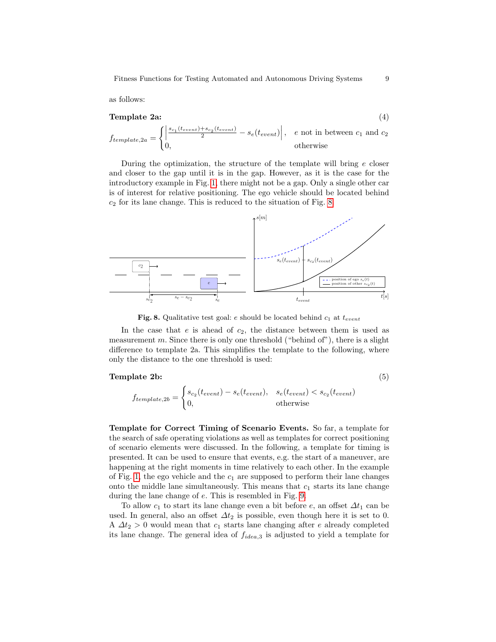Fitness Functions for Testing Automated and Autonomous Driving Systems 9

as follows:

**Template 2a:**  
\n
$$
f_{template, 2a} = \begin{cases} \left| \frac{s_{c_1}(t_{event}) + s_{c_2}(t_{event})}{2} - s_e(t_{event}) \right|, & e \text{ not in between } c_1 \text{ and } c_2 \\ 0, & \text{otherwise} \end{cases}
$$
\n(4)

During the optimization, the structure of the template will bring  $e$  closer and closer to the gap until it is in the gap. However, as it is the case for the introductory example in Fig. [1,](#page-1-0) there might not be a gap. Only a single other car is of interest for relative positioning. The ego vehicle should be located behind  $c<sub>2</sub>$  for its lane change. This is reduced to the situation of Fig. [8.](#page-8-0)



<span id="page-8-0"></span>Fig. 8. Qualitative test goal: e should be located behind  $c_1$  at  $t_{event}$ 

In the case that  $e$  is ahead of  $c_2$ , the distance between them is used as measurement m. Since there is only one threshold ("behind of"), there is a slight difference to template 2a. This simplifies the template to the following, where only the distance to the one threshold is used:

### **Template 2b:**  $(5)$

$$
f_{template,2b} = \begin{cases} s_{c_2}(t_{event}) - s_e(t_{event}), & s_e(t_{event}) < s_{c_2}(t_{event}) \\ 0, & \text{otherwise} \end{cases}
$$

Template for Correct Timing of Scenario Events. So far, a template for the search of safe operating violations as well as templates for correct positioning of scenario elements were discussed. In the following, a template for timing is presented. It can be used to ensure that events, e.g. the start of a maneuver, are happening at the right moments in time relatively to each other. In the example of Fig. [1,](#page-1-0) the ego vehicle and the  $c_1$  are supposed to perform their lane changes onto the middle lane simultaneously. This means that  $c_1$  starts its lane change during the lane change of e. This is resembled in Fig. [9.](#page-9-1)

To allow  $c_1$  to start its lane change even a bit before e, an offset  $\Delta t_1$  can be used. In general, also an offset  $\Delta t_2$  is possible, even though here it is set to 0. A  $\Delta t_2 > 0$  would mean that  $c_1$  starts lane changing after e already completed its lane change. The general idea of  $f_{idea,3}$  is adjusted to yield a template for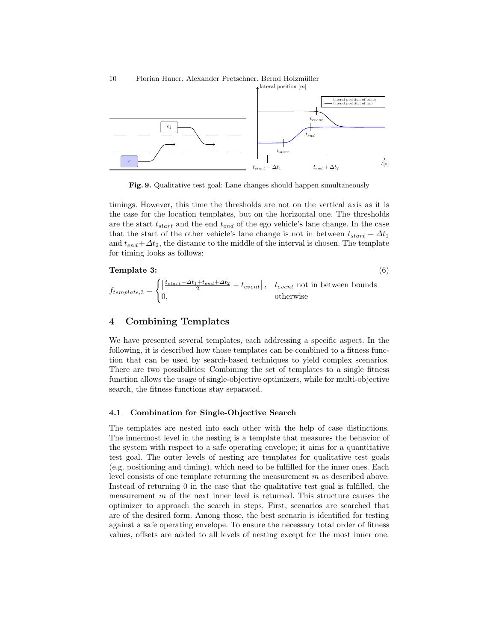

<span id="page-9-1"></span>Fig. 9. Qualitative test goal: Lane changes should happen simultaneously

timings. However, this time the thresholds are not on the vertical axis as it is the case for the location templates, but on the horizontal one. The thresholds are the start  $t_{start}$  and the end  $t_{end}$  of the ego vehicle's lane change. In the case that the start of the other vehicle's lane change is not in between  $t_{start} - \Delta t_1$ and  $t_{end}+\Delta t_2$ , the distance to the middle of the interval is chosen. The template for timing looks as follows:

**Template 3:**  
\n
$$
f_{template,3} = \begin{cases} \left| \frac{t_{start} - \Delta t_1 + t_{end} + \Delta t_2}{2} - t_{event} \right|, & t_{event} \text{ not in between bounds} \\ 0, & \text{otherwise} \end{cases}
$$
\n(6)

# <span id="page-9-0"></span>4 Combining Templates

We have presented several templates, each addressing a specific aspect. In the following, it is described how those templates can be combined to a fitness function that can be used by search-based techniques to yield complex scenarios. There are two possibilities: Combining the set of templates to a single fitness function allows the usage of single-objective optimizers, while for multi-objective search, the fitness functions stay separated.

#### 4.1 Combination for Single-Objective Search

The templates are nested into each other with the help of case distinctions. The innermost level in the nesting is a template that measures the behavior of the system with respect to a safe operating envelope; it aims for a quantitative test goal. The outer levels of nesting are templates for qualitative test goals (e.g. positioning and timing), which need to be fulfilled for the inner ones. Each level consists of one template returning the measurement  $m$  as described above. Instead of returning 0 in the case that the qualitative test goal is fulfilled, the measurement  $m$  of the next inner level is returned. This structure causes the optimizer to approach the search in steps. First, scenarios are searched that are of the desired form. Among those, the best scenario is identified for testing against a safe operating envelope. To ensure the necessary total order of fitness values, offsets are added to all levels of nesting except for the most inner one.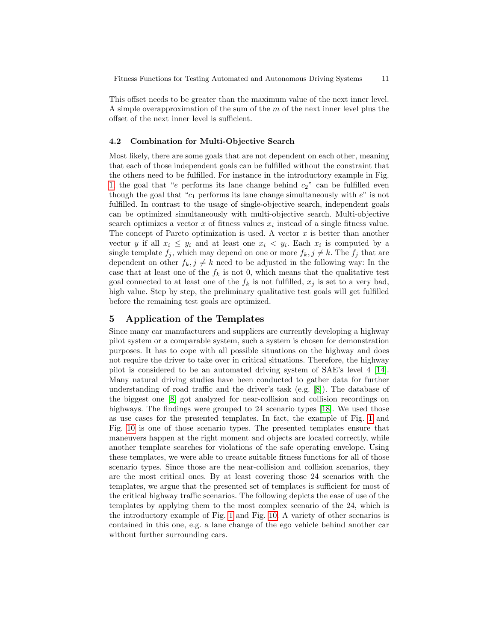This offset needs to be greater than the maximum value of the next inner level. A simple overapproximation of the sum of the  $m$  of the next inner level plus the offset of the next inner level is sufficient.

#### 4.2 Combination for Multi-Objective Search

Most likely, there are some goals that are not dependent on each other, meaning that each of those independent goals can be fulfilled without the constraint that the others need to be fulfilled. For instance in the introductory example in Fig. [1,](#page-1-0) the goal that "e performs its lane change behind  $c_2$ " can be fulfilled even though the goal that " $c_1$  performs its lane change simultaneously with  $e$ " is not fulfilled. In contrast to the usage of single-objective search, independent goals can be optimized simultaneously with multi-objective search. Multi-objective search optimizes a vector  $x$  of fitness values  $x_i$  instead of a single fitness value. The concept of Pareto optimization is used. A vector  $x$  is better than another vector y if all  $x_i \leq y_i$  and at least one  $x_i \leq y_i$ . Each  $x_i$  is computed by a single template  $f_j$ , which may depend on one or more  $f_k, j \neq k$ . The  $f_j$  that are dependent on other  $f_k, j \neq k$  need to be adjusted in the following way: In the case that at least one of the  $f_k$  is not 0, which means that the qualitative test goal connected to at least one of the  $f_k$  is not fulfilled,  $x_j$  is set to a very bad, high value. Step by step, the preliminary qualitative test goals will get fulfilled before the remaining test goals are optimized.

## <span id="page-10-0"></span>5 Application of the Templates

Since many car manufacturers and suppliers are currently developing a highway pilot system or a comparable system, such a system is chosen for demonstration purposes. It has to cope with all possible situations on the highway and does not require the driver to take over in critical situations. Therefore, the highway pilot is considered to be an automated driving system of SAE's level 4 [\[14\]](#page-14-1). Many natural driving studies have been conducted to gather data for further understanding of road traffic and the driver's task (e.g. [\[8\]](#page-14-10)). The database of the biggest one [\[8\]](#page-14-10) got analyzed for near-collision and collision recordings on highways. The findings were grouped to 24 scenario types [\[18\]](#page-15-2). We used those as use cases for the presented templates. In fact, the example of Fig. [1](#page-1-0) and Fig. [10](#page-11-0) is one of those scenario types. The presented templates ensure that maneuvers happen at the right moment and objects are located correctly, while another template searches for violations of the safe operating envelope. Using these templates, we were able to create suitable fitness functions for all of those scenario types. Since those are the near-collision and collision scenarios, they are the most critical ones. By at least covering those 24 scenarios with the templates, we argue that the presented set of templates is sufficient for most of the critical highway traffic scenarios. The following depicts the ease of use of the templates by applying them to the most complex scenario of the 24, which is the introductory example of Fig. [1](#page-1-0) and Fig. [10.](#page-11-0) A variety of other scenarios is contained in this one, e.g. a lane change of the ego vehicle behind another car without further surrounding cars.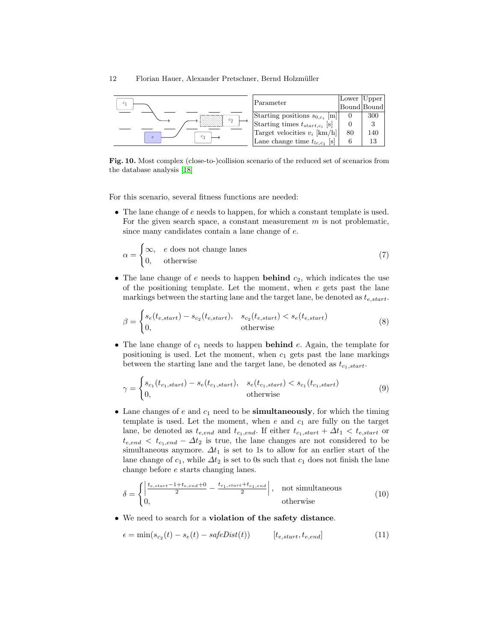

<span id="page-11-0"></span>Fig. 10. Most complex (close-to-)collision scenario of the reduced set of scenarios from the database analysis [\[18\]](#page-15-2)

For this scenario, several fitness functions are needed:

• The lane change of  $e$  needs to happen, for which a constant template is used. For the given search space, a constant measurement  $m$  is not problematic, since many candidates contain a lane change of e.

$$
\alpha = \begin{cases} \infty, & e \text{ does not change lanes} \\ 0, & \text{otherwise} \end{cases} \tag{7}
$$

• The lane change of  $e$  needs to happen **behind**  $c_2$ , which indicates the use of the positioning template. Let the moment, when  $e$  gets past the lane markings between the starting lane and the target lane, be denoted as  $t_{e, start}$ .

$$
\beta = \begin{cases} s_e(t_{e,start}) - s_{c_2}(t_{e,start}), & s_{c_2}(t_{e,start}) < s_e(t_{e,start}) \\ 0, & \text{otherwise} \end{cases}
$$
(8)

• The lane change of  $c_1$  needs to happen behind e. Again, the template for positioning is used. Let the moment, when  $c_1$  gets past the lane markings between the starting lane and the target lane, be denoted as  $t_{c_1, start}$ .

$$
\gamma = \begin{cases} s_{c_1}(t_{c_1,start}) - s_e(t_{c_1,start}), & s_e(t_{c_1,start}) < s_{c_1}(t_{c_1,start}) \\ 0, & \text{otherwise} \end{cases} \tag{9}
$$

• Lane changes of  $e$  and  $c_1$  need to be **simultaneously**, for which the timing template is used. Let the moment, when  $e$  and  $c_1$  are fully on the target lane, be denoted as  $t_{e,end}$  and  $t_{c_1,end}$ . If either  $t_{c_1,start} + \Delta t_1 < t_{e,start}$  or  $t_{e,end} < t_{c_1,end} - \Delta t_2$  is true, the lane changes are not considered to be simultaneous anymore.  $\Delta t_1$  is set to 1s to allow for an earlier start of the lane change of  $c_1$ , while  $\Delta t_2$  is set to 0s such that  $c_1$  does not finish the lane change before e starts changing lanes.

$$
\delta = \begin{cases} \left| \frac{t_{e,start} - 1 + t_{e,end} + 0}{2} - \frac{t_{c_1,start} + t_{c_1,end}}{2} \right|, & \text{not simultaneous} \\ 0, & \text{otherwise} \end{cases} \tag{10}
$$

• We need to search for a violation of the safety distance.

$$
\epsilon = \min(s_{c_2}(t) - s_e(t) - safeDist(t)) \qquad [t_{e, start}, t_{e, end}] \qquad (11)
$$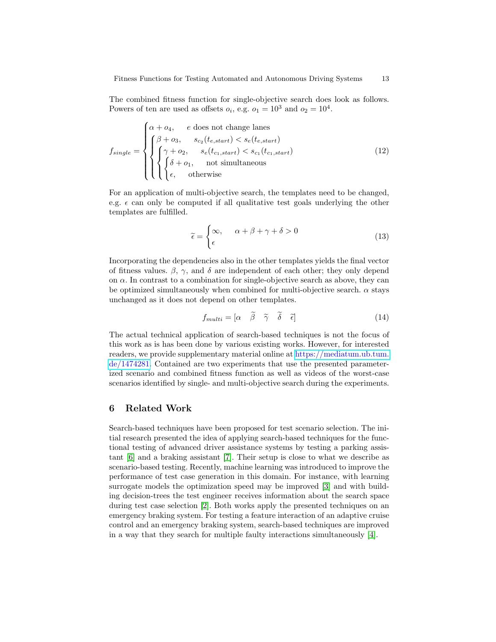The combined fitness function for single-objective search does look as follows. Powers of ten are used as offsets  $o_i$ , e.g.  $o_1 = 10^3$  and  $o_2 = 10^4$ .

$$
f_{single} = \begin{cases} \alpha + o_4, & e \text{ does not change lanes} \\ \begin{cases} \beta + o_3, & s_{c_2}(t_{e, start}) < s_e(t_{e, start}) \\ \begin{cases} \gamma + o_2, & s_e(t_{c_1, start}) < s_{c_1}(t_{c_1, start}) \\ \begin{cases} \delta + o_1, & \text{not simultaneous} \\ \epsilon, & \text{otherwise} \end{cases} \end{cases} \end{cases} \tag{12}
$$

For an application of multi-objective search, the templates need to be changed, e.g.  $\epsilon$  can only be computed if all qualitative test goals underlying the other templates are fulfilled.

$$
\widetilde{\epsilon} = \begin{cases} \infty, & \alpha + \beta + \gamma + \delta > 0 \\ \epsilon \end{cases}
$$
\n(13)

Incorporating the dependencies also in the other templates yields the final vector of fitness values.  $\beta$ ,  $\gamma$ , and  $\delta$  are independent of each other; they only depend on  $\alpha$ . In contrast to a combination for single-objective search as above, they can be optimized simultaneously when combined for multi-objective search.  $\alpha$  stays unchanged as it does not depend on other templates.

$$
f_{multi} = [\alpha \quad \beta \quad \tilde{\gamma} \quad \delta \quad \tilde{\epsilon}] \tag{14}
$$

The actual technical application of search-based techniques is not the focus of this work as is has been done by various existing works. However, for interested readers, we provide supplementary material online at [https://mediatum.ub.tum.](https://mediatum.ub.tum.de/1474281) [de/1474281.](https://mediatum.ub.tum.de/1474281) Contained are two experiments that use the presented parameterized scenario and combined fitness function as well as videos of the worst-case scenarios identified by single- and multi-objective search during the experiments.

## <span id="page-12-0"></span>6 Related Work

Search-based techniques have been proposed for test scenario selection. The initial research presented the idea of applying search-based techniques for the functional testing of advanced driver assistance systems by testing a parking assistant [\[6\]](#page-14-11) and a braking assistant [\[7\]](#page-14-12). Their setup is close to what we describe as scenario-based testing. Recently, machine learning was introduced to improve the performance of test case generation in this domain. For instance, with learning surrogate models the optimization speed may be improved [\[3\]](#page-14-13) and with building decision-trees the test engineer receives information about the search space during test case selection [\[2\]](#page-14-2). Both works apply the presented techniques on an emergency braking system. For testing a feature interaction of an adaptive cruise control and an emergency braking system, search-based techniques are improved in a way that they search for multiple faulty interactions simultaneously [\[4\]](#page-14-14).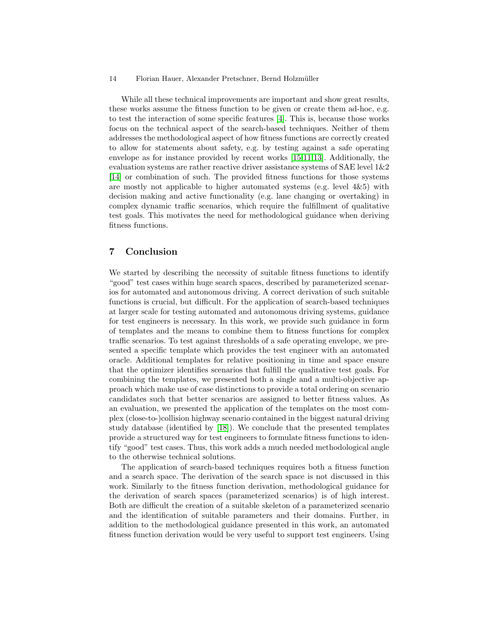While all these technical improvements are important and show great results, these works assume the fitness function to be given or create them ad-hoc, e.g. to test the interaction of some specific features [\[4\]](#page-14-14). This is, because those works focus on the technical aspect of the search-based techniques. Neither of them addresses the methodological aspect of how fitness functions are correctly created to allow for statements about safety, e.g. by testing against a safe operating envelope as for instance provided by recent works [\[15,](#page-14-6)[11](#page-14-7)[,13\]](#page-14-8). Additionally, the evaluation systems are rather reactive driver assistance systems of SAE level 1&2 [\[14\]](#page-14-1) or combination of such. The provided fitness functions for those systems are mostly not applicable to higher automated systems (e.g. level 4&5) with decision making and active functionality (e.g. lane changing or overtaking) in complex dynamic traffic scenarios, which require the fulfillment of qualitative test goals. This motivates the need for methodological guidance when deriving fitness functions.

# <span id="page-13-0"></span>7 Conclusion

We started by describing the necessity of suitable fitness functions to identify "good" test cases within huge search spaces, described by parameterized scenarios for automated and autonomous driving. A correct derivation of such suitable functions is crucial, but difficult. For the application of search-based techniques at larger scale for testing automated and autonomous driving systems, guidance for test engineers is necessary. In this work, we provide such guidance in form of templates and the means to combine them to fitness functions for complex traffic scenarios. To test against thresholds of a safe operating envelope, we presented a specific template which provides the test engineer with an automated oracle. Additional templates for relative positioning in time and space ensure that the optimizer identifies scenarios that fulfill the qualitative test goals. For combining the templates, we presented both a single and a multi-objective approach which make use of case distinctions to provide a total ordering on scenario candidates such that better scenarios are assigned to better fitness values. As an evaluation, we presented the application of the templates on the most complex (close-to-)collision highway scenario contained in the biggest natural driving study database (identified by [\[18\]](#page-15-2)). We conclude that the presented templates provide a structured way for test engineers to formulate fitness functions to identify "good" test cases. Thus, this work adds a much needed methodological angle to the otherwise technical solutions.

The application of search-based techniques requires both a fitness function and a search space. The derivation of the search space is not discussed in this work. Similarly to the fitness function derivation, methodological guidance for the derivation of search spaces (parameterized scenarios) is of high interest. Both are difficult the creation of a suitable skeleton of a parameterized scenario and the identification of suitable parameters and their domains. Further, in addition to the methodological guidance presented in this work, an automated fitness function derivation would be very useful to support test engineers. Using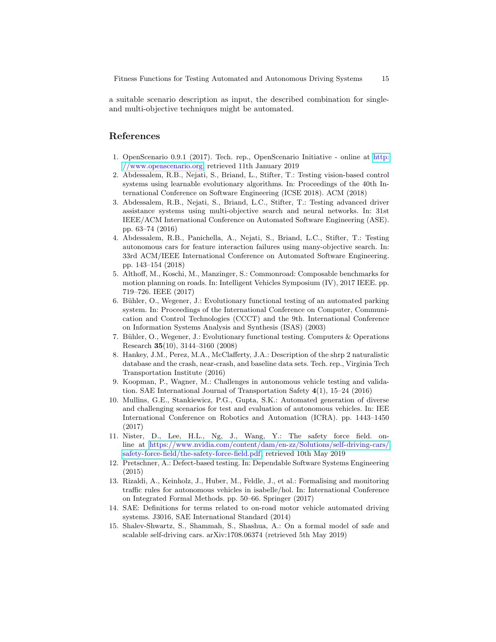a suitable scenario description as input, the described combination for singleand multi-objective techniques might be automated.

## References

- <span id="page-14-4"></span>1. OpenScenario 0.9.1 (2017). Tech. rep., OpenScenario Initiative - online at [http:](http://www.openscenario.org) [//www.openscenario.org,](http://www.openscenario.org) retrieved 11th January 2019
- <span id="page-14-2"></span>2. Abdessalem, R.B., Nejati, S., Briand, L., Stifter, T.: Testing vision-based control systems using learnable evolutionary algorithms. In: Proceedings of the 40th International Conference on Software Engineering (ICSE 2018). ACM (2018)
- <span id="page-14-13"></span>3. Abdessalem, R.B., Nejati, S., Briand, L.C., Stifter, T.: Testing advanced driver assistance systems using multi-objective search and neural networks. In: 31st IEEE/ACM International Conference on Automated Software Engineering (ASE). pp. 63–74 (2016)
- <span id="page-14-14"></span>4. Abdessalem, R.B., Panichella, A., Nejati, S., Briand, L.C., Stifter, T.: Testing autonomous cars for feature interaction failures using many-objective search. In: 33rd ACM/IEEE International Conference on Automated Software Engineering. pp. 143–154 (2018)
- <span id="page-14-5"></span>5. Althoff, M., Koschi, M., Manzinger, S.: Commonroad: Composable benchmarks for motion planning on roads. In: Intelligent Vehicles Symposium (IV), 2017 IEEE. pp. 719–726. IEEE (2017)
- <span id="page-14-11"></span>6. B¨uhler, O., Wegener, J.: Evolutionary functional testing of an automated parking system. In: Proceedings of the International Conference on Computer, Communication and Control Technologies (CCCT) and the 9th. International Conference on Information Systems Analysis and Synthesis (ISAS) (2003)
- <span id="page-14-12"></span>7. Bühler, O., Wegener, J.: Evolutionary functional testing. Computers & Operations Research 35(10), 3144–3160 (2008)
- <span id="page-14-10"></span>8. Hankey, J.M., Perez, M.A., McClafferty, J.A.: Description of the shrp 2 naturalistic database and the crash, near-crash, and baseline data sets. Tech. rep., Virginia Tech Transportation Institute (2016)
- <span id="page-14-0"></span>9. Koopman, P., Wagner, M.: Challenges in autonomous vehicle testing and validation. SAE International Journal of Transportation Safety 4(1), 15–24 (2016)
- <span id="page-14-3"></span>10. Mullins, G.E., Stankiewicz, P.G., Gupta, S.K.: Automated generation of diverse and challenging scenarios for test and evaluation of autonomous vehicles. In: IEE International Conference on Robotics and Automation (ICRA). pp. 1443–1450 (2017)
- <span id="page-14-7"></span>11. Nister, D., Lee, H.L., Ng, J., Wang, Y.: The safety force field. online at [https://www.nvidia.com/content/dam/en-zz/Solutions/self-driving-cars/](https://www.nvidia.com/content/dam/en-zz/Solutions/self-driving-cars/safety-force-field/the-safety-force-field.pdf) [safety-force-field/the-safety-force-field.pdf,](https://www.nvidia.com/content/dam/en-zz/Solutions/self-driving-cars/safety-force-field/the-safety-force-field.pdf) retrieved 10th May 2019
- <span id="page-14-9"></span>12. Pretschner, A.: Defect-based testing. In: Dependable Software Systems Engineering (2015)
- <span id="page-14-8"></span>13. Rizaldi, A., Keinholz, J., Huber, M., Feldle, J., et al.: Formalising and monitoring traffic rules for autonomous vehicles in isabelle/hol. In: International Conference on Integrated Formal Methods. pp. 50–66. Springer (2017)
- <span id="page-14-1"></span>14. SAE: Definitions for terms related to on-road motor vehicle automated driving systems. J3016, SAE International Standard (2014)
- <span id="page-14-6"></span>15. Shalev-Shwartz, S., Shammah, S., Shashua, A.: On a formal model of safe and scalable self-driving cars. arXiv:1708.06374 (retrieved 5th May 2019)